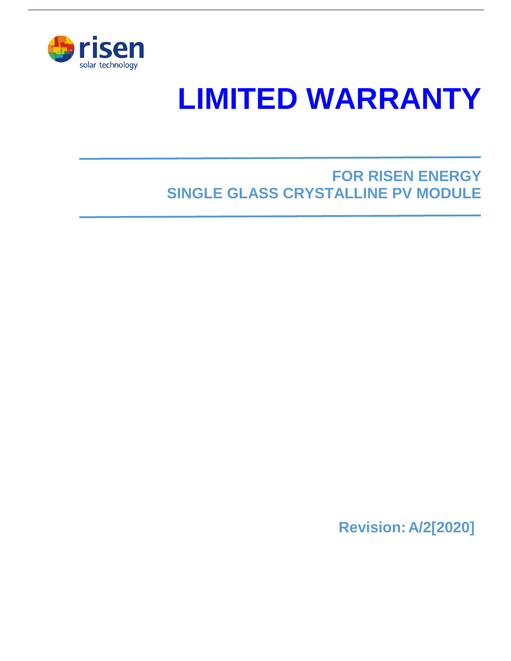

# **LIMITED WARRANTY**

# **FOR RISEN ENERGY SINGLE GLASS CRYSTALLINE PV MODULE**

**Revision: A/2[2020]**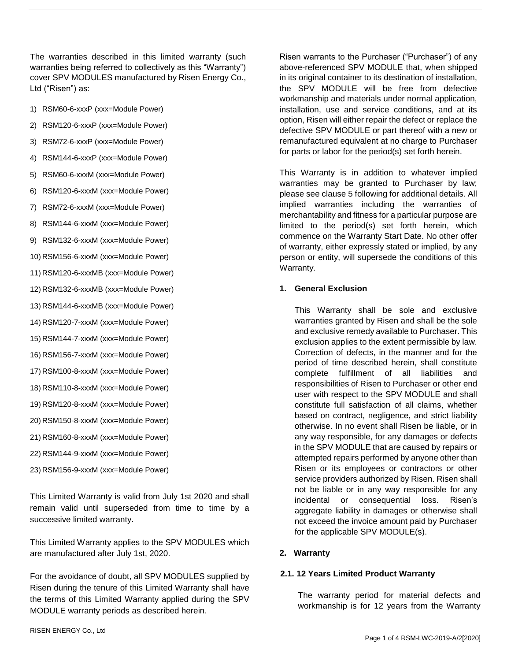The warranties described in this limited warranty (such warranties being referred to collectively as this "Warranty") cover SPV MODULES manufactured by Risen Energy Co., Ltd ("Risen") as:

- 1) RSM60-6-xxxP (xxx=Module Power)
- 2) RSM120-6-xxxP (xxx=Module Power)
- 3) RSM72-6-xxxP (xxx=Module Power)
- 4) RSM144-6-xxxP (xxx=Module Power)
- 5) RSM60-6-xxxM (xxx=Module Power)
- 6) RSM120-6-xxxM (xxx=Module Power)
- 7) RSM72-6-xxxM (xxx=Module Power)
- 8) RSM144-6-xxxM (xxx=Module Power)
- 9) RSM132-6-xxxM (xxx=Module Power)
- 10) RSM156-6-xxxM (xxx=Module Power)
- 11) RSM120-6-xxxMB (xxx=Module Power)
- 12) RSM132-6-xxxMB (xxx=Module Power)
- 13) RSM144-6-xxxMB (xxx=Module Power)
- 14) RSM120-7-xxxM (xxx=Module Power)
- 15) RSM144-7-xxxM (xxx=Module Power)
- 16) RSM156-7-xxxM (xxx=Module Power)
- 17) RSM100-8-xxxM (xxx=Module Power)
- 18) RSM110-8-xxxM (xxx=Module Power)
- 19) RSM120-8-xxxM (xxx=Module Power)
- 20) RSM150-8-xxxM (xxx=Module Power)
- 21) RSM160-8-xxxM (xxx=Module Power)
- 22) RSM144-9-xxxM (xxx=Module Power)
- 23) RSM156-9-xxxM (xxx=Module Power)

This Limited Warranty is valid from July 1st 2020 and shall remain valid until superseded from time to time by a successive limited warranty.

This Limited Warranty applies to the SPV MODULES which are manufactured after July 1st, 2020.

For the avoidance of doubt, all SPV MODULES supplied by Risen during the tenure of this Limited Warranty shall have the terms of this Limited Warranty applied during the SPV MODULE warranty periods as described herein.

RISEN ENERGY Co., Ltd

Risen warrants to the Purchaser ("Purchaser") of any above-referenced SPV MODULE that, when shipped in its original container to its destination of installation, the SPV MODULE will be free from defective workmanship and materials under normal application, installation, use and service conditions, and at its option, Risen will either repair the defect or replace the defective SPV MODULE or part thereof with a new or remanufactured equivalent at no charge to Purchaser for parts or labor for the period(s) set forth herein.

This Warranty is in addition to whatever implied warranties may be granted to Purchaser by law; please see clause 5 following for additional details. All implied warranties including the warranties of merchantability and fitness for a particular purpose are limited to the period(s) set forth herein, which commence on the Warranty Start Date. No other offer of warranty, either expressly stated or implied, by any person or entity, will supersede the conditions of this Warranty.

#### **1. General Exclusion**

This Warranty shall be sole and exclusive warranties granted by Risen and shall be the sole and exclusive remedy available to Purchaser. This exclusion applies to the extent permissible by law. Correction of defects, in the manner and for the period of time described herein, shall constitute complete fulfillment of all liabilities and responsibilities of Risen to Purchaser or other end user with respect to the SPV MODULE and shall constitute full satisfaction of all claims, whether based on contract, negligence, and strict liability otherwise. In no event shall Risen be liable, or in any way responsible, for any damages or defects in the SPV MODULE that are caused by repairs or attempted repairs performed by anyone other than Risen or its employees or contractors or other service providers authorized by Risen. Risen shall not be liable or in any way responsible for any incidental or consequential loss. Risen's aggregate liability in damages or otherwise shall not exceed the invoice amount paid by Purchaser for the applicable SPV MODULE(s).

# **2. Warranty**

#### **2.1. 12 Years Limited Product Warranty**

The warranty period for material defects and workmanship is for 12 years from the Warranty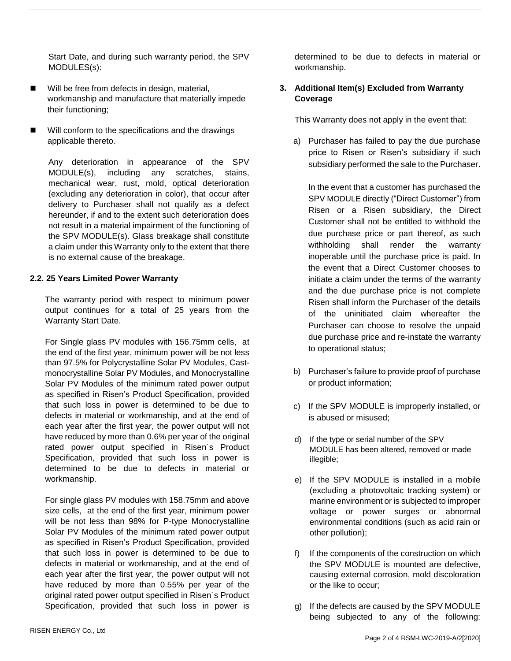Start Date, and during such warranty period, the SPV MODULES(s):

- Will be free from defects in design, material, workmanship and manufacture that materially impede their functioning;
- Will conform to the specifications and the drawings applicable thereto.

Any deterioration in appearance of the SPV MODULE(s), including any scratches, stains, mechanical wear, rust, mold, optical deterioration (excluding any deterioration in color), that occur after delivery to Purchaser shall not qualify as a defect hereunder, if and to the extent such deterioration does not result in a material impairment of the functioning of the SPV MODULE(s). Glass breakage shall constitute a claim under this Warranty only to the extent that there is no external cause of the breakage.

#### **2.2. 25 Years Limited Power Warranty**

The warranty period with respect to minimum power output continues for a total of 25 years from the Warranty Start Date.

For Single glass PV modules with 156.75mm cells, at the end of the first year, minimum power will be not less than 97.5% for Polycrystalline Solar PV Modules, Castmonocrystalline Solar PV Modules, and Monocrystalline Solar PV Modules of the minimum rated power output as specified in Risen's Product Specification, provided that such loss in power is determined to be due to defects in material or workmanship, and at the end of each year after the first year, the power output will not have reduced by more than 0.6% per year of the original rated power output specified in Risen´s Product Specification, provided that such loss in power is determined to be due to defects in material or workmanship.

For single glass PV modules with 158.75mm and above size cells, at the end of the first year, minimum power will be not less than 98% for P-type Monocrystalline Solar PV Modules of the minimum rated power output as specified in Risen's Product Specification, provided that such loss in power is determined to be due to defects in material or workmanship, and at the end of each year after the first year, the power output will not have reduced by more than 0.55% per year of the original rated power output specified in Risen´s Product Specification, provided that such loss in power is

determined to be due to defects in material or workmanship.

#### **3. Additional Item(s) Excluded from Warranty Coverage**

This Warranty does not apply in the event that:

a) Purchaser has failed to pay the due purchase price to Risen or Risen's subsidiary if such subsidiary performed the sale to the Purchaser.

In the event that a customer has purchased the SPV MODULE directly ("Direct Customer") from Risen or a Risen subsidiary, the Direct Customer shall not be entitled to withhold the due purchase price or part thereof, as such withholding shall render the warranty inoperable until the purchase price is paid. In the event that a Direct Customer chooses to initiate a claim under the terms of the warranty and the due purchase price is not complete Risen shall inform the Purchaser of the details of the uninitiated claim whereafter the Purchaser can choose to resolve the unpaid due purchase price and re-instate the warranty to operational status;

- b) Purchaser's failure to provide proof of purchase or product information;
- c) If the SPV MODULE is improperly installed, or is abused or misused;
- d) If the type or serial number of the SPV MODULE has been altered, removed or made illegible;
- e) If the SPV MODULE is installed in a mobile (excluding a photovoltaic tracking system) or marine environment or is subjected to improper voltage or power surges or abnormal environmental conditions (such as acid rain or other pollution);
- f) If the components of the construction on which the SPV MODULE is mounted are defective, causing external corrosion, mold discoloration or the like to occur;
- g) If the defects are caused by the SPV MODULE being subjected to any of the following: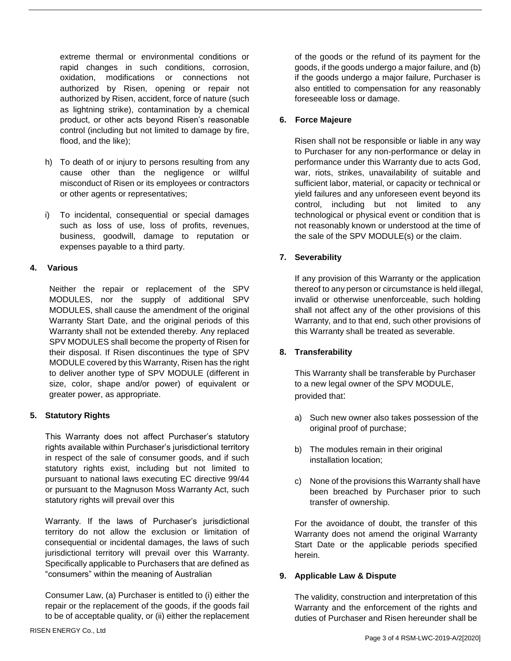extreme thermal or environmental conditions or rapid changes in such conditions, corrosion, oxidation, modifications or connections not authorized by Risen, opening or repair not authorized by Risen, accident, force of nature (such as lightning strike), contamination by a chemical product, or other acts beyond Risen's reasonable control (including but not limited to damage by fire, flood, and the like);

- h) To death of or injury to persons resulting from any cause other than the negligence or willful misconduct of Risen or its employees or contractors or other agents or representatives;
- i) To incidental, consequential or special damages such as loss of use, loss of profits, revenues, business, goodwill, damage to reputation or expenses payable to a third party.

# **4. Various**

Neither the repair or replacement of the SPV MODULES, nor the supply of additional SPV MODULES, shall cause the amendment of the original Warranty Start Date, and the original periods of this Warranty shall not be extended thereby. Any replaced SPV MODULES shall become the property of Risen for their disposal. If Risen discontinues the type of SPV MODULE covered by this Warranty, Risen has the right to deliver another type of SPV MODULE (different in size, color, shape and/or power) of equivalent or greater power, as appropriate.

# **5. Statutory Rights**

This Warranty does not affect Purchaser's statutory rights available within Purchaser's jurisdictional territory in respect of the sale of consumer goods, and if such statutory rights exist, including but not limited to pursuant to national laws executing EC directive 99/44 or pursuant to the Magnuson Moss Warranty Act, such statutory rights will prevail over this

Warranty. If the laws of Purchaser's jurisdictional territory do not allow the exclusion or limitation of consequential or incidental damages, the laws of such jurisdictional territory will prevail over this Warranty. Specifically applicable to Purchasers that are defined as "consumers" within the meaning of Australian

Consumer Law, (a) Purchaser is entitled to (i) either the repair or the replacement of the goods, if the goods fail to be of acceptable quality, or (ii) either the replacement of the goods or the refund of its payment for the goods, if the goods undergo a major failure, and (b) if the goods undergo a major failure, Purchaser is also entitled to compensation for any reasonably foreseeable loss or damage.

# **6. Force Majeure**

Risen shall not be responsible or liable in any way to Purchaser for any non-performance or delay in performance under this Warranty due to acts God, war, riots, strikes, unavailability of suitable and sufficient labor, material, or capacity or technical or yield failures and any unforeseen event beyond its control, including but not limited to any technological or physical event or condition that is not reasonably known or understood at the time of the sale of the SPV MODULE(s) or the claim.

# **7. Severability**

If any provision of this Warranty or the application thereof to any person or circumstance is held illegal, invalid or otherwise unenforceable, such holding shall not affect any of the other provisions of this Warranty, and to that end, such other provisions of this Warranty shall be treated as severable.

# **8. Transferability**

This Warranty shall be transferable by Purchaser to a new legal owner of the SPV MODULE, provided that:

- a) Such new owner also takes possession of the original proof of purchase;
- b) The modules remain in their original installation location;
- c) None of the provisions this Warranty shall have been breached by Purchaser prior to such transfer of ownership.

For the avoidance of doubt, the transfer of this Warranty does not amend the original Warranty Start Date or the applicable periods specified herein.

# **9. Applicable Law & Dispute**

The validity, construction and interpretation of this Warranty and the enforcement of the rights and duties of Purchaser and Risen hereunder shall be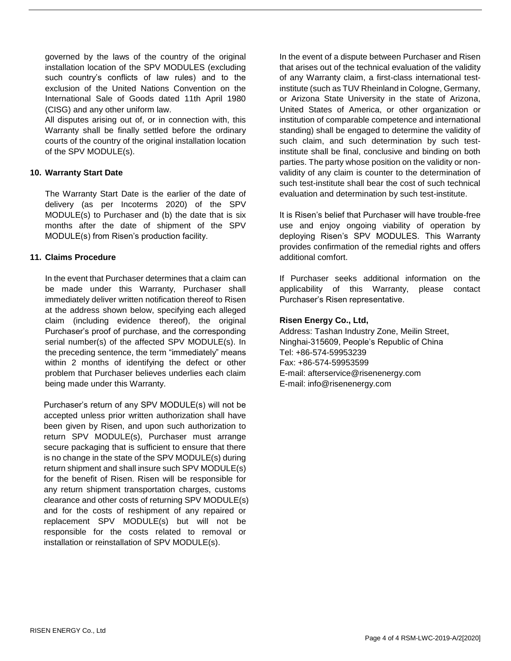governed by the laws of the country of the original installation location of the SPV MODULES (excluding such country's conflicts of law rules) and to the exclusion of the United Nations Convention on the International Sale of Goods dated 11th April 1980 (CISG) and any other uniform law.

All disputes arising out of, or in connection with, this Warranty shall be finally settled before the ordinary courts of the country of the original installation location of the SPV MODULE(s).

# **10. Warranty Start Date**

The Warranty Start Date is the earlier of the date of delivery (as per Incoterms 2020) of the SPV MODULE(s) to Purchaser and (b) the date that is six months after the date of shipment of the SPV MODULE(s) from Risen's production facility.

# **11. Claims Procedure**

In the event that Purchaser determines that a claim can be made under this Warranty, Purchaser shall immediately deliver written notification thereof to Risen at the address shown below, specifying each alleged claim (including evidence thereof), the original Purchaser's proof of purchase, and the corresponding serial number(s) of the affected SPV MODULE(s). In the preceding sentence, the term "immediately" means within 2 months of identifying the defect or other problem that Purchaser believes underlies each claim being made under this Warranty.

Purchaser's return of any SPV MODULE(s) will not be accepted unless prior written authorization shall have been given by Risen, and upon such authorization to return SPV MODULE(s), Purchaser must arrange secure packaging that is sufficient to ensure that there is no change in the state of the SPV MODULE(s) during return shipment and shall insure such SPV MODULE(s) for the benefit of Risen. Risen will be responsible for any return shipment transportation charges, customs clearance and other costs of returning SPV MODULE(s) and for the costs of reshipment of any repaired or replacement SPV MODULE(s) but will not be responsible for the costs related to removal or installation or reinstallation of SPV MODULE(s).

In the event of a dispute between Purchaser and Risen that arises out of the technical evaluation of the validity of any Warranty claim, a first-class international testinstitute (such as TUV Rheinland in Cologne, Germany, or Arizona State University in the state of Arizona, United States of America, or other organization or institution of comparable competence and international standing) shall be engaged to determine the validity of such claim, and such determination by such testinstitute shall be final, conclusive and binding on both parties. The party whose position on the validity or nonvalidity of any claim is counter to the determination of such test-institute shall bear the cost of such technical evaluation and determination by such test-institute.

It is Risen's belief that Purchaser will have trouble-free use and enjoy ongoing viability of operation by deploying Risen's SPV MODULES. This Warranty provides confirmation of the remedial rights and offers additional comfort.

If Purchaser seeks additional information on the applicability of this Warranty, please contact Purchaser's Risen representative.

# **Risen Energy Co., Ltd,**

Address: Tashan Industry Zone, Meilin Street, Ninghai-315609, People's Republic of China Tel: +86-574-59953239 Fax: +86-574-59953599 E-mail: [afterservice@risenenergy.com](mailto:afterservice@risenenergy.com) E-mail: info@risenenergy.com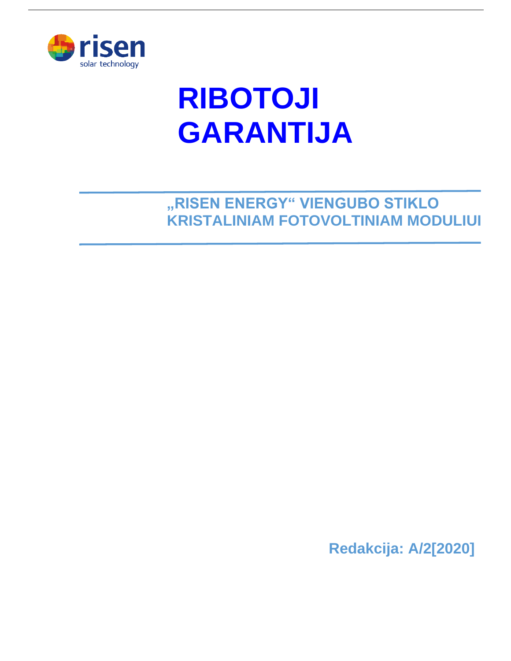

# **RIBOTOJI GARANTIJA**

**"RISEN ENERGY" VIENGUBO STIKLO KRISTALINIAM FOTOVOLTINIAM MODULIUI**

**Redakcija: A/2[2020]**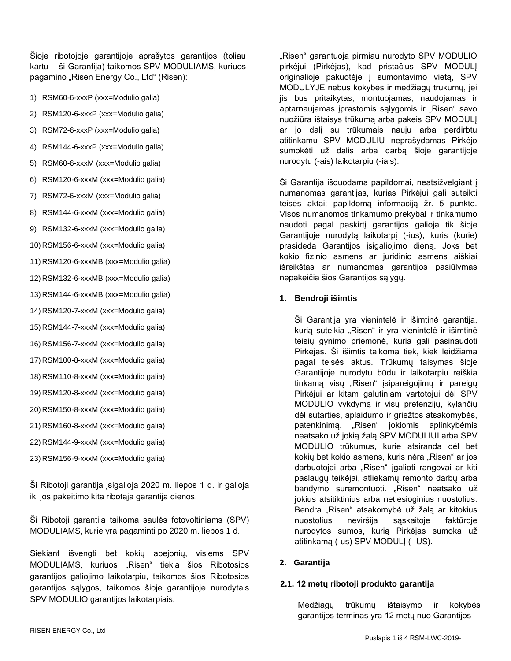Šioje ribotojoje garantijoje aprašytos garantijos (toliau kartu – ši Garantija) taikomos SPV MODULIAMS, kuriuos pagamino "Risen Energy Co., Ltd" (Risen):

- 1) RSM60-6-xxxP (xxx=Modulio galia)
- 2) RSM120-6-xxxP (xxx=Modulio galia)
- 3) RSM72-6-xxxP (xxx=Modulio galia)
- 4) RSM144-6-xxxP (xxx=Modulio galia)
- 5) RSM60-6-xxxM (xxx=Modulio galia)
- 6) RSM120-6-xxxM (xxx=Modulio galia)
- 7) RSM72-6-xxxM (xxx=Modulio galia)
- 8) RSM144-6-xxxM (xxx=Modulio galia)
- 9) RSM132-6-xxxM (xxx=Modulio galia)
- 10) RSM156-6-xxxM (xxx=Modulio galia)
- 11) RSM120-6-xxxMB (xxx=Modulio galia)
- 12) RSM132-6-xxxMB (xxx=Modulio galia)
- 13) RSM144-6-xxxMB (xxx=Modulio galia)
- 14) RSM120-7-xxxM (xxx=Modulio galia)
- 15) RSM144-7-xxxM (xxx=Modulio galia)
- 16) RSM156-7-xxxM (xxx=Modulio galia)
- 17) RSM100-8-xxxM (xxx=Modulio galia)
- 18) RSM110-8-xxxM (xxx=Modulio galia)
- 19) RSM120-8-xxxM (xxx=Modulio galia)
- 20) RSM150-8-xxxM (xxx=Modulio galia)
- 21) RSM160-8-xxxM (xxx=Modulio galia)
- 22) RSM144-9-xxxM (xxx=Modulio galia)
- 23) RSM156-9-xxxM (xxx=Modulio galia)

Ši Ribotoji garantija įsigalioja 2020 m. liepos 1 d. ir galioja iki jos pakeitimo kita ribotąja garantija dienos.

Ši Ribotoji garantija taikoma saulės fotovoltiniams (SPV) MODULIAMS, kurie yra pagaminti po 2020 m. liepos 1 d.

Siekiant išvengti bet kokių abejonių, visiems SPV MODULIAMS, kuriuos "Risen" tiekia šios Ribotosios garantijos galiojimo laikotarpiu, taikomos šios Ribotosios garantijos sąlygos, taikomos šioje garantijoje nurodytais SPV MODULIO garantijos laikotarpiais.

"Risen" garantuoja pirmiau nurodyto SPV MODULIO pirkėjui (Pirkėjas), kad pristačius SPV MODULĮ originalioje pakuotėje į sumontavimo vietą, SPV MODULYJE nebus kokybės ir medžiagų trūkumų, jei jis bus pritaikytas, montuojamas, naudojamas ir aptarnaujamas įprastomis sąlygomis ir "Risen" savo nuožiūra ištaisys trūkumą arba pakeis SPV MODULĮ ar jo dalį su trūkumais nauju arba perdirbtu atitinkamu SPV MODULIU neprašydamas Pirkėjo sumokėti už dalis arba darbą šioje garantijoje nurodytu (-ais) laikotarpiu (-iais).

Ši Garantija išduodama papildomai, neatsižvelgiant į numanomas garantijas, kurias Pirkėjui gali suteikti teisės aktai; papildomą informaciją žr. 5 punkte. Visos numanomos tinkamumo prekybai ir tinkamumo naudoti pagal paskirtį garantijos galioja tik šioje Garantijoje nurodytą laikotarpį (-ius), kuris (kurie) prasideda Garantijos įsigaliojimo dieną. Joks bet kokio fizinio asmens ar juridinio asmens aiškiai išreikštas ar numanomas garantijos pasiūlymas nepakeičia šios Garantijos sąlygų.

#### **1. Bendroji išimtis**

Ši Garantija yra vienintelė ir išimtinė garantija, kurią suteikia "Risen" ir yra vienintelė ir išimtinė teisių gynimo priemonė, kuria gali pasinaudoti Pirkėjas. Ši išimtis taikoma tiek, kiek leidžiama pagal teisės aktus. Trūkumų taisymas šioje Garantijoje nurodytu būdu ir laikotarpiu reiškia tinkamą visų "Risen" įsipareigojimų ir pareigų Pirkėjui ar kitam galutiniam vartotojui dėl SPV MODULIO vykdymą ir visų pretenzijų, kylančių dėl sutarties, aplaidumo ir griežtos atsakomybės, patenkinimą. "Risen" jokiomis aplinkybėmis neatsako už jokią žalą SPV MODULIUI arba SPV MODULIO trūkumus, kurie atsiranda dėl bet kokių bet kokio asmens, kuris nėra "Risen" ar jos darbuotojai arba "Risen" įgalioti rangovai ar kiti paslaugų teikėjai, atliekamų remonto darbų arba bandymo suremontuoti. "Risen" neatsako už jokius atsitiktinius arba netiesioginius nuostolius. Bendra "Risen" atsakomybė už žalą ar kitokius nuostolius neviršija sąskaitoje faktūroje nurodytos sumos, kurią Pirkėjas sumoka už atitinkamą (-us) SPV MODULĮ (-IUS).

#### **2. Garantija**

#### **2.1. 12 metų ribotoji produkto garantija**

Medžiagų trūkumų ištaisymo ir kokybės garantijos terminas yra 12 metų nuo Garantijos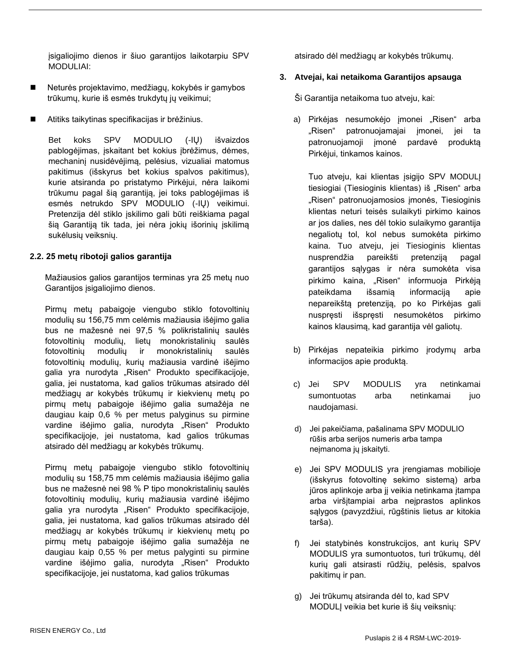įsigaliojimo dienos ir šiuo garantijos laikotarpiu SPV MODULIAI:

- ◼ Neturės projektavimo, medžiagų, kokybės ir gamybos trūkumų, kurie iš esmės trukdytų jų veikimui;
- ◼ Atitiks taikytinas specifikacijas ir brėžinius.

Bet koks SPV MODULIO (-IŲ) išvaizdos pablogėjimas, įskaitant bet kokius įbrėžimus, dėmes, mechaninį nusidėvėjimą, pelėsius, vizualiai matomus pakitimus (išskyrus bet kokius spalvos pakitimus), kurie atsiranda po pristatymo Pirkėjui, nėra laikomi trūkumu pagal šią garantiją, jei toks pablogėjimas iš esmės netrukdo SPV MODULIO (-IŲ) veikimui. Pretenzija dėl stiklo įskilimo gali būti reiškiama pagal šią Garantiją tik tada, jei nėra jokių išorinių įskilimą sukėlusių veiksnių.

# **2.2. 25 metų ribotoji galios garantija**

Mažiausios galios garantijos terminas yra 25 metų nuo Garantijos įsigaliojimo dienos.

Pirmų metų pabaigoje viengubo stiklo fotovoltinių modulių su 156,75 mm celėmis mažiausia išėjimo galia bus ne mažesnė nei 97,5 % polikristalinių saulės fotovoltinių modulių, lietų monokristalinių saulės fotovoltinių modulių ir monokristalinių saulės fotovoltinių modulių, kurių mažiausia vardinė išėjimo galia yra nurodyta "Risen" Produkto specifikacijoje, galia, jei nustatoma, kad galios trūkumas atsirado dėl medžiagų ar kokybės trūkumų ir kiekvienų metų po pirmų metų pabaigoje išėjimo galia sumažėja ne daugiau kaip 0,6 % per metus palyginus su pirmine vardine išėjimo galia, nurodyta "Risen" Produkto specifikacijoje, jei nustatoma, kad galios trūkumas atsirado dėl medžiagų ar kokybės trūkumų.

Pirmų metų pabaigoje viengubo stiklo fotovoltinių modulių su 158,75 mm celėmis mažiausia išėjimo galia bus ne mažesnė nei 98 % P tipo monokristalinių saulės fotovoltinių modulių, kurių mažiausia vardinė išėjimo galia yra nurodyta "Risen" Produkto specifikacijoje, galia, jei nustatoma, kad galios trūkumas atsirado dėl medžiagų ar kokybės trūkumų ir kiekvienų metų po pirmų metų pabaigoje išėjimo galia sumažėja ne daugiau kaip 0,55 % per metus palyginti su pirmine vardine išėjimo galia, nurodyta "Risen" Produkto specifikacijoje, jei nustatoma, kad galios trūkumas

atsirado dėl medžiagų ar kokybės trūkumų.

# **3. Atvejai, kai netaikoma Garantijos apsauga**

Ši Garantija netaikoma tuo atveju, kai:

a) Pirkėjas nesumokėjo įmonei "Risen" arba "Risen" patronuojamajai imonei, jei ta patronuojamoji įmonė pardavė produktą Pirkėjui, tinkamos kainos.

Tuo atveju, kai klientas įsigijo SPV MODULĮ tiesiogiai (Tiesioginis klientas) iš "Risen" arba "Risen" patronuojamosios įmonės, Tiesioginis klientas neturi teisės sulaikyti pirkimo kainos ar jos dalies, nes dėl tokio sulaikymo garantija negaliotų tol, kol nebus sumokėta pirkimo kaina. Tuo atveju, jei Tiesioginis klientas nusprendžia pareikšti pretenziją pagal garantijos sąlygas ir nėra sumokėta visa pirkimo kaina, "Risen" informuoja Pirkėją pateikdama išsamią informaciją apie nepareikštą pretenziją, po ko Pirkėjas gali nuspręsti išspręsti nesumokėtos pirkimo kainos klausimą, kad garantija vėl galiotų.

- b) Pirkėjas nepateikia pirkimo įrodymų arba informacijos apie produktą.
- c) Jei SPV MODULIS yra netinkamai sumontuotas arba netinkamai juo naudojamasi.
- d) Jei pakeičiama, pašalinama SPV MODULIO rūšis arba serijos numeris arba tampa neįmanoma jų įskaityti.
- e) Jei SPV MODULIS yra įrengiamas mobilioje (išskyrus fotovoltinę sekimo sistemą) arba jūros aplinkoje arba jį veikia netinkama įtampa arba viršįtampiai arba neįprastos aplinkos sąlygos (pavyzdžiui, rūgštinis lietus ar kitokia tarša).
- f) Jei statybinės konstrukcijos, ant kurių SPV MODULIS yra sumontuotos, turi trūkumų, dėl kurių gali atsirasti rūdžių, pelėsis, spalvos pakitimų ir pan.
- g) Jei trūkumų atsiranda dėl to, kad SPV MODULĮ veikia bet kurie iš šių veiksnių: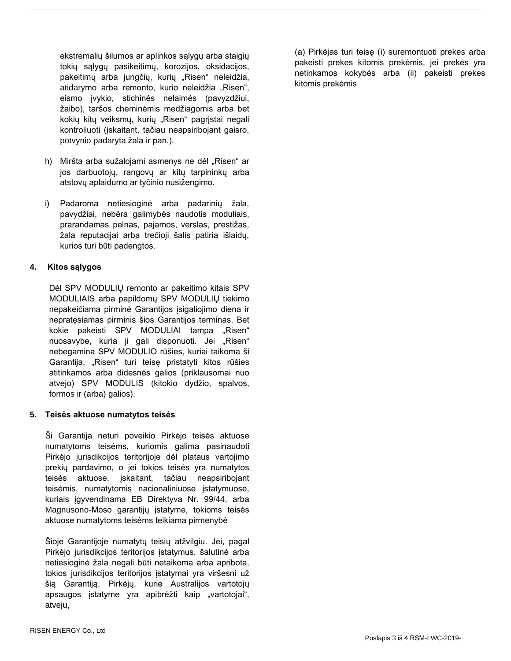ekstremalių šilumos ar aplinkos sąlygų arba staigių tokių sąlygų pasikeitimų, korozijos, oksidacijos, pakeitimų arba jungčių, kurių "Risen" neleidžia, atidarymo arba remonto, kurio neleidžia "Risen", eismo įvykio, stichinės nelaimės (pavyzdžiui, žaibo), taršos cheminėmis medžiagomis arba bet kokių kitų veiksmų, kurių "Risen" pagrįstai negali kontroliuoti (įskaitant, tačiau neapsiribojant gaisro, potvynio padaryta žala ir pan.).

- h) Miršta arba sužalojami asmenys ne dėl "Risen" ar jos darbuotojų, rangovų ar kitų tarpininkų arba atstovų aplaidumo ar tyčinio nusižengimo.
- i) Padaroma netiesioginė arba padarinių žala, pavydžiai, nebėra galimybės naudotis moduliais, prarandamas pelnas, pajamos, verslas, prestižas, žala reputacijai arba trečioji šalis patiria išlaidų, kurios turi būti padengtos.

# **4. Kitos sąlygos**

Dėl SPV MODULIŲ remonto ar pakeitimo kitais SPV MODULIAIS arba papildomų SPV MODULIŲ tiekimo nepakeičiama pirminė Garantijos įsigaliojimo diena ir nepratęsiamas pirminis šios Garantijos terminas. Bet kokie pakeisti SPV MODULIAI tampa "Risen" nuosavybe, kuria ji gali disponuoti. Jei "Risen" nebegamina SPV MODULIO rūšies, kuriai taikoma ši Garantija, "Risen" turi teisę pristatyti kitos rūšies atitinkamos arba didesnės galios (priklausomai nuo atvejo) SPV MODULIS (kitokio dydžio, spalvos, formos ir (arba) galios).

#### **5. Teisės aktuose numatytos teisės**

Ši Garantija neturi poveikio Pirkėjo teisės aktuose numatytoms teisėms, kuriomis galima pasinaudoti Pirkėjo jurisdikcijos teritorijoje dėl plataus vartojimo prekių pardavimo, o jei tokios teisės yra numatytos teisės aktuose, įskaitant, tačiau neapsiribojant teisėmis, numatytomis nacionaliniuose įstatymuose, kuriais įgyvendinama EB Direktyva Nr. 99/44, arba Magnusono-Moso garantijų įstatyme, tokioms teisės aktuose numatytoms teisėms teikiama pirmenybė

Šioje Garantijoje numatytų teisių atžvilgiu. Jei, pagal Pirkėjo jurisdikcijos teritorijos įstatymus, šalutinė arba netiesioginė žala negali būti netaikoma arba apribota, tokios jurisdikcijos teritorijos įstatymai yra viršesni už šią Garantiją. Pirkėjų, kurie Australijos vartotojų apsaugos įstatyme yra apibrėžti kaip "vartotojai", atveju,

(a) Pirkėjas turi teisę (i) suremontuoti prekes arba pakeisti prekes kitomis prekėmis, jei prekės yra netinkamos kokybės arba (ii) pakeisti prekes kitomis prekėmis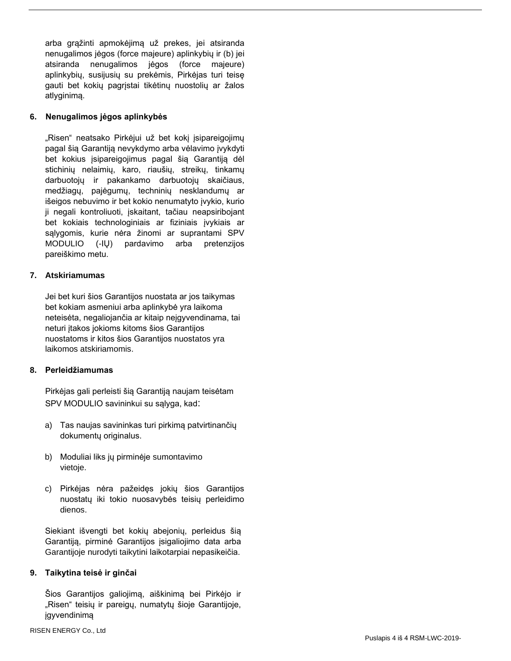arba grąžinti apmokėjimą už prekes, jei atsiranda nenugalimos jėgos (force majeure) aplinkybių ir (b) jei atsiranda nenugalimos jėgos (force majeure) aplinkybių, susijusių su prekėmis, Pirkėjas turi teisę gauti bet kokių pagrįstai tikėtinų nuostolių ar žalos atlyginimą.

# **6. Nenugalimos jėgos aplinkybės**

"Risen" neatsako Pirkėjui už bet kokį įsipareigojimų pagal šią Garantiją nevykdymo arba vėlavimo įvykdyti bet kokius įsipareigojimus pagal šią Garantiją dėl stichinių nelaimių, karo, riaušių, streikų, tinkamų darbuotojų ir pakankamo darbuotojų skaičiaus, medžiagų, pajėgumų, techninių nesklandumų ar išeigos nebuvimo ir bet kokio nenumatyto įvykio, kurio ji negali kontroliuoti, įskaitant, tačiau neapsiribojant bet kokiais technologiniais ar fiziniais įvykiais ar sąlygomis, kurie nėra žinomi ar suprantami SPV MODULIO (-IŲ) pardavimo arba pretenzijos pareiškimo metu.

#### **7. Atskiriamumas**

Jei bet kuri šios Garantijos nuostata ar jos taikymas bet kokiam asmeniui arba aplinkybė yra laikoma neteisėta, negaliojančia ar kitaip neįgyvendinama, tai neturi įtakos jokioms kitoms šios Garantijos nuostatoms ir kitos šios Garantijos nuostatos yra laikomos atskiriamomis.

#### **8. Perleidžiamumas**

Pirkėjas gali perleisti šią Garantiją naujam teisėtam SPV MODULIO savininkui su sąlyga, kad:

- a) Tas naujas savininkas turi pirkimą patvirtinančių dokumentų originalus.
- b) Moduliai liks jų pirminėje sumontavimo vietoje.
- c) Pirkėjas nėra pažeidęs jokių šios Garantijos nuostatų iki tokio nuosavybės teisių perleidimo dienos.

Siekiant išvengti bet kokių abejonių, perleidus šią Garantiją, pirminė Garantijos įsigaliojimo data arba Garantijoje nurodyti taikytini laikotarpiai nepasikeičia.

#### **9. Taikytina teisė ir ginčai**

Šios Garantijos galiojimą, aiškinimą bei Pirkėjo ir "Risen" teisių ir pareigų, numatytų šioje Garantijoje, įgyvendinimą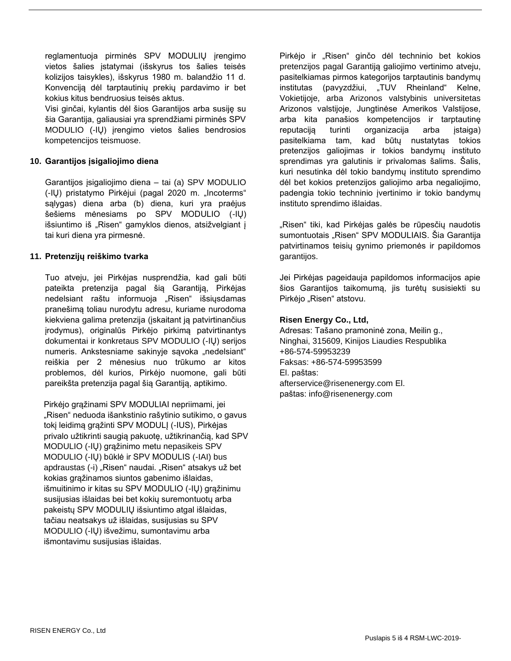reglamentuoja pirminės SPV MODULIŲ įrengimo vietos šalies įstatymai (išskyrus tos šalies teisės kolizijos taisykles), išskyrus 1980 m. balandžio 11 d. Konvenciją dėl tarptautinių prekių pardavimo ir bet kokius kitus bendruosius teisės aktus.

Visi ginčai, kylantis dėl šios Garantijos arba susiję su šia Garantija, galiausiai yra sprendžiami pirminės SPV MODULIO (-IŲ) įrengimo vietos šalies bendrosios kompetencijos teismuose.

#### **10. Garantijos įsigaliojimo diena**

Garantijos įsigaliojimo diena – tai (a) SPV MODULIO (-IŲ) pristatymo Pirkėjui (pagal 2020 m. "Incoterms" sąlygas) diena arba (b) diena, kuri yra praėjus šešiems mėnesiams po SPV MODULIO (-IŲ) išsiuntimo iš "Risen" gamyklos dienos, atsižvelgiant į tai kuri diena yra pirmesnė.

#### **11. Pretenzijų reiškimo tvarka**

Tuo atveju, jei Pirkėjas nusprendžia, kad gali būti pateikta pretenzija pagal šią Garantiją, Pirkėjas nedelsiant raštu informuoja "Risen" išsiųsdamas pranešimą toliau nurodytu adresu, kuriame nurodoma kiekviena galima pretenzija (įskaitant ją patvirtinančius įrodymus), originalūs Pirkėjo pirkimą patvirtinantys dokumentai ir konkretaus SPV MODULIO (-IŲ) serijos numeris. Ankstesniame sakinyje sąvoka "nedelsiant" reiškia per 2 mėnesius nuo trūkumo ar kitos problemos, dėl kurios, Pirkėjo nuomone, gali būti pareikšta pretenzija pagal šią Garantiją, aptikimo.

Pirkėjo grąžinami SPV MODULIAI nepriimami, jei "Risen" neduoda išankstinio rašytinio sutikimo, o gavus tokį leidimą grąžinti SPV MODULĮ (-IUS), Pirkėjas privalo užtikrinti saugią pakuotę, užtikrinančią, kad SPV MODULIO (-IŲ) grąžinimo metu nepasikeis SPV MODULIO (-IŲ) būklė ir SPV MODULIS (-IAI) bus apdraustas (-i) "Risen" naudai. "Risen" atsakys už bet kokias grąžinamos siuntos gabenimo išlaidas, išmuitinimo ir kitas su SPV MODULIO (-IŲ) grąžinimu susijusias išlaidas bei bet kokių suremontuotų arba pakeistų SPV MODULIŲ išsiuntimo atgal išlaidas, tačiau neatsakys už išlaidas, susijusias su SPV MODULIO (-IŲ) išvežimu, sumontavimu arba išmontavimu susijusias išlaidas.

Pirkėjo ir "Risen" ginčo dėl techninio bet kokios pretenzijos pagal Garantiją galiojimo vertinimo atveju, pasitelkiamas pirmos kategorijos tarptautinis bandymų institutas (pavyzdžiui, "TUV Rheinland" Kelne, Vokietijoje, arba Arizonos valstybinis universitetas Arizonos valstijoje, Jungtinėse Amerikos Valstijose, arba kita panašios kompetencijos ir tarptautinę reputaciją turinti organizacija arba įstaiga) pasitelkiama tam, kad būtų nustatytas tokios pretenzijos galiojimas ir tokios bandymų instituto sprendimas yra galutinis ir privalomas šalims. Šalis, kuri nesutinka dėl tokio bandymų instituto sprendimo dėl bet kokios pretenzijos galiojimo arba negaliojimo, padengia tokio techninio įvertinimo ir tokio bandymų instituto sprendimo išlaidas.

"Risen" tiki, kad Pirkėjas galės be rūpesčių naudotis sumontuotais "Risen" SPV MODULIAIS. Šia Garantija patvirtinamos teisių gynimo priemonės ir papildomos garantijos.

Jei Pirkėjas pageidauja papildomos informacijos apie šios Garantijos taikomumą, jis turėtų susisiekti su Pirkėjo "Risen" atstovu.

# **Risen Energy Co., Ltd,**

Adresas: Tašano pramoninė zona, Meilin g., Ninghai, 315609, Kinijos Liaudies Respublika +86-574-59953239 Faksas: +86-574-59953599 El. paštas: [afterservice@risenenergy.com](mailto:afterservice@risenenergy.com) El. paštas: [info@risenenergy.com](mailto:info@risenenergy.com)